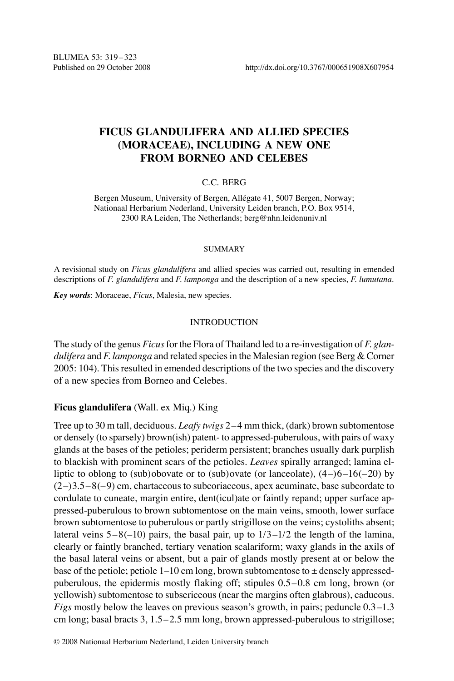# FICUS GLANDULIFERA AND ALLIED SPECIES (MORACEAE), INCLUDING A NEW ONE **FROM BORNEO AND CELEBES**

# $C.C.$  BERG

Bergen Museum, University of Bergen, Allégate 41, 5007 Bergen, Norway; Nationaal Herbarium Nederland, University Leiden branch, P.O. Box 9514, 2300 RA Leiden, The Netherlands; berg@nhn.leidenuniv.nl

### **SUMMARY**

A revisional study on *Ficus glandulifera* and allied species was carried out, resulting in emended descriptions of  $F$ . glandulifera and  $F$ . lamponga and the description of a new species,  $F$ . lumutana.

Key words: Moraceae, Ficus, Malesia, new species.

## **INTRODUCTION**

The study of the genus *Ficus* for the Flora of Thailand led to a re-investigation of *F. glan*dulifera and F. lamponga and related species in the Malesian region (see Berg  $&$  Corner 2005: 104). This resulted in emended descriptions of the two species and the discovery of a new species from Borneo and Celebes.

# Ficus glandulifera (Wall. ex Miq.) King

Tree up to 30 m tall, deciduous. Leafy twigs  $2-4$  mm thick, (dark) brown subtomentose or densely (to sparsely) brown(ish) patent- to appressed-puberulous, with pairs of waxy glands at the bases of the petioles; periderm persistent; branches usually dark purplish to blackish with prominent scars of the petioles. Leaves spirally arranged; lamina elliptic to oblong to (sub)obovate or to (sub)ovate (or lanceolate),  $(4-6-16(-20)$  by  $(2-)3.5-8(-9)$  cm, chartaceous to subcoriaceous, apex acuminate, base subcordate to cordulate to cuneate, margin entire, dent(icul)ate or faintly repand; upper surface appressed-puberulous to brown subtomentose on the main veins, smooth, lower surface brown subtomentose to puberulous or partly strigillose on the veins; cystoliths absent; lateral veins  $5-8(-10)$  pairs, the basal pair, up to  $1/3-1/2$  the length of the lamina, clearly or faintly branched, tertiary venation scalariform; waxy glands in the axils of the basal lateral veins or absent, but a pair of glands mostly present at or below the base of the petiole; petiole 1–10 cm long, brown subtomentose to  $\pm$  densely appressedpuberulous, the epidermis mostly flaking off; stipules  $0.5-0.8$  cm long, brown (or yellowish) subtomentose to subsericeous (near the margins often glabrous), caducous. *Figs* mostly below the leaves on previous season's growth, in pairs; peduncle  $0.3-1.3$ cm long; basal bracts  $3, 1.5-2.5$  mm long, brown appressed-puberulous to strigillose;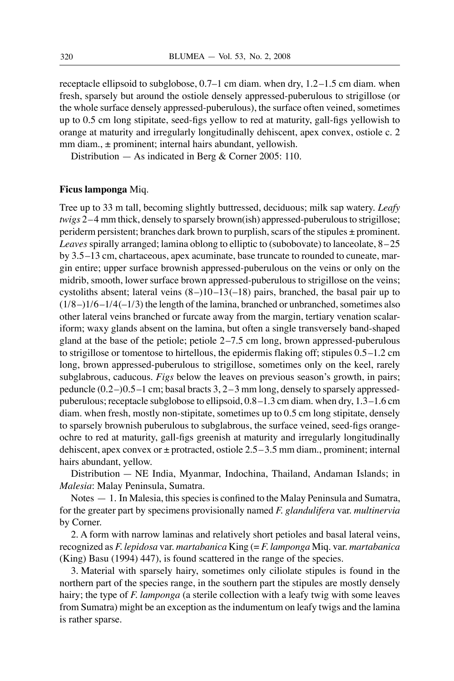receptacle ellipsoid to subglobose, 0.7–1 cm diam. when dry, 1.2–1.5 cm diam. when fresh, sparsely but around the ostiole densely appressed-puberulous to strigillose (or the whole surface densely appressed-puberulous), the surface often veined, sometimes up to 0.5 cm long stipitate, seed-figs yellow to red at maturity, gall-figs yellowish to orange at maturity and irregularly longitudinally dehiscent, apex convex, ostiole c. 2 mm diam.,  $\pm$  prominent; internal hairs abundant, yellowish.

Distribution  $-$  As indicated in Berg & Corner 2005: 110.

### Ficus lamponga Miq.

Tree up to 33 m tall, becoming slightly buttressed, deciduous; milk sap watery. Leafy twigs 2-4 mm thick, densely to sparsely brown(ish) appressed-puberulous to strigillose; periderm persistent; branches dark brown to purplish, scars of the stipules  $\pm$  prominent. Leaves spirally arranged; lamina oblong to elliptic to (subobovate) to lanceolate, 8–25 by 3.5–13 cm, chartaceous, apex acuminate, base truncate to rounded to cuneate, margin entire; upper surface brownish appressed-puberulous on the veins or only on the midrib, smooth, lower surface brown appressed-puberulous to strigillose on the veins; cystoliths absent; lateral veins  $(8-110-13(-18)$  pairs, branched, the basal pair up to  $(1/8-1/6-1/4(-1/3))$  the length of the lamina, branched or unbranched, sometimes also other lateral veins branched or furcate away from the margin, tertiary venation scalariform; waxy glands absent on the lamina, but often a single transversely band-shaped gland at the base of the petiole; petiole  $2-7.5$  cm long, brown appressed-puberulous to strigillose or tomentose to hirtellous, the epidermis flaking off; stipules  $0.5-1.2$  cm long, brown appressed-puberulous to strigillose, sometimes only on the keel, rarely subglabrous, caducous. *Figs* below the leaves on previous season's growth, in pairs; peduncle  $(0.2-)0.5-1$  cm; basal bracts 3,  $2-3$  mm long, densely to sparsely appressedpuberulous; receptacle subglobose to ellipsoid, 0.8-1.3 cm diam. when dry, 1.3-1.6 cm diam. when fresh, mostly non-stipitate, sometimes up to 0.5 cm long stipitate, densely to sparsely brownish puberulous to subglabrous, the surface veined, seed-figs orangeochre to red at maturity, gall-figs greenish at maturity and irregularly longitudinally dehiscent, apex convex or  $\pm$  protracted, ostiole 2.5–3.5 mm diam., prominent; internal hairs abundant, yellow.

Distribution - NE India, Myanmar, Indochina, Thailand, Andaman Islands; in Malesia: Malay Peninsula, Sumatra.

Notes  $-1$ . In Malesia, this species is confined to the Malay Peninsula and Sumatra, for the greater part by specimens provisionally named F. glandulifera var. multinervia by Corner.

2. A form with narrow laminas and relatively short petioles and basal lateral veins, recognized as F. lepidosa var. martabanica King  $(=F.$  lamponga Miq. var. martabanica (King) Basu (1994) 447), is found scattered in the range of the species.

3. Material with sparsely hairy, sometimes only ciliolate stipules is found in the northern part of the species range, in the southern part the stipules are mostly densely hairy; the type of F. lamponga (a sterile collection with a leafy twig with some leaves from Sumatra) might be an exception as the indumentum on leafy twigs and the lamina is rather sparse.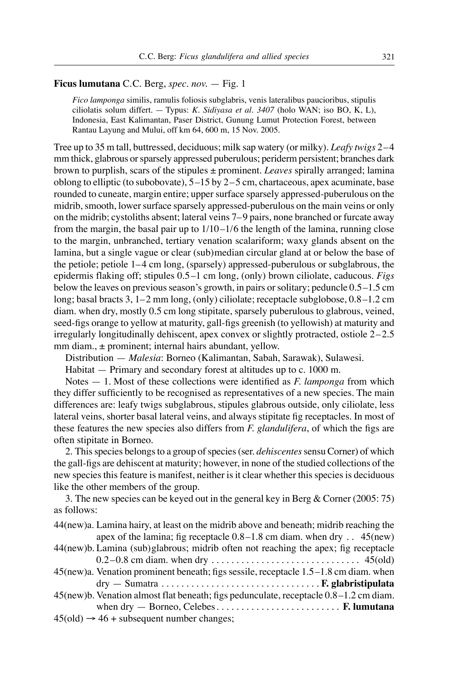### Ficus lumutana C.C. Berg, spec. nov.  $-$  Fig. 1

Fico lamponga similis, ramulis foliosis subglabris, venis lateralibus paucioribus, stipulis ciliolatis solum differt. - Typus: K. Sidiyasa et al. 3407 (holo WAN; iso BO, K, L), Indonesia, East Kalimantan, Paser District, Gunung Lumut Protection Forest, between Rantau Layung and Mului, off km 64, 600 m, 15 Nov. 2005.

Tree up to 35 m tall, buttressed, deciduous; milk sap watery (or milky). Leafy twigs  $2-4$ mm thick, glabrous or sparsely appressed puberulous; periderm persistent; branches dark brown to purplish, scars of the stipules  $\pm$  prominent. Leaves spirally arranged; lamina oblong to elliptic (to subobovate),  $5-15$  by  $2-5$  cm, chartaceous, apex acuminate, base rounded to cuneate, margin entire; upper surface sparsely appressed-puberulous on the midrib, smooth, lower surface sparsely appressed-puberulous on the main veins or only on the midrib; cystoliths absent; lateral veins 7–9 pairs, none branched or furcate away from the margin, the basal pair up to  $1/10-1/6$  the length of the lamina, running close to the margin, unbranched, tertiary venation scalariform; waxy glands absent on the lamina, but a single vague or clear (sub)median circular gland at or below the base of the petiole; petiole  $1-4$  cm long, (sparsely) appressed-puberulous or subglabrous, the epidermis flaking off; stipules  $0.5-1$  cm long, (only) brown ciliolate, caducous. *Figs* below the leaves on previous season's growth, in pairs or solitary; peduncle  $0.5-1.5$  cm long; basal bracts 3,  $1-2$  mm long, (only) ciliolate; receptacle subglobose,  $0.8-1.2$  cm diam. when dry, mostly 0.5 cm long stipitate, sparsely puberulous to glabrous, veined, seed-figs orange to yellow at maturity, gall-figs greenish (to yellowish) at maturity and irregularly longitudinally dehiscent, apex convex or slightly protracted, ostiole  $2-2.5$ mm diam.,  $\pm$  prominent; internal hairs abundant, yellow.

Distribution — Malesia: Borneo (Kalimantan, Sabah, Sarawak), Sulawesi.

Habitat  $-$  Primary and secondary forest at altitudes up to c. 1000 m.

Notes  $-1$ . Most of these collections were identified as *F. lamponga* from which they differ sufficiently to be recognised as representatives of a new species. The main differences are: leafy twigs subglabrous, stipules glabrous outside, only ciliolate, less lateral veins, shorter basal lateral veins, and always stipitate fig receptacles. In most of these features the new species also differs from *F. glandulifera*, of which the figs are often stipitate in Borneo.

2. This species belongs to a group of species (ser. *dehiscentes* sensu Corner) of which the gall-figs are dehiscent at maturity; however, in none of the studied collections of the new species this feature is manifest, neither is it clear whether this species is deciduous like the other members of the group.

3. The new species can be keyed out in the general key in Berg  $&$  Corner (2005: 75) as follows:

| 44 (new) a. Lamina hairy, at least on the midrib above and beneath; midrib reaching the |  |
|-----------------------------------------------------------------------------------------|--|
| apex of the lamina; fig receptacle $0.8-1.8$ cm diam. when dry 45(new)                  |  |
| 44(new)b. Lamina (sub)glabrous; midrib often not reaching the apex; fig receptacle      |  |
|                                                                                         |  |
| 45(new)a. Venation prominent beneath; figs sessile, receptacle 1.5–1.8 cm diam. when    |  |
|                                                                                         |  |
| 45(new)b. Venation almost flat beneath; figs pedunculate, receptacle 0.8-1.2 cm diam.   |  |
|                                                                                         |  |
| $45(old) \rightarrow 46 +$ subsequent number changes;                                   |  |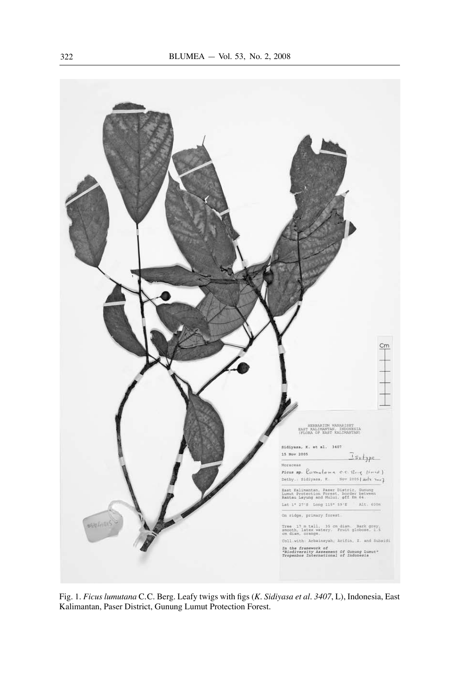

Fig. 1. Ficus lumutana C.C. Berg. Leafy twigs with figs (K. Sidiyasa et al. 3407, L), Indonesia, East Kalimantan, Paser District, Gunung Lumut Protection Forest.